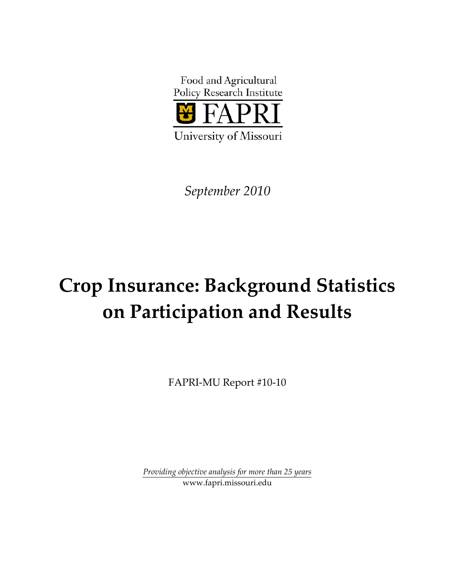

*September 2010*

# **Crop Insurance: Background Statistics on Participation and Results**

FAPRI‐MU Report #10‐10

*Providing objective analysis for more than 25 years* www.fapri.missouri.edu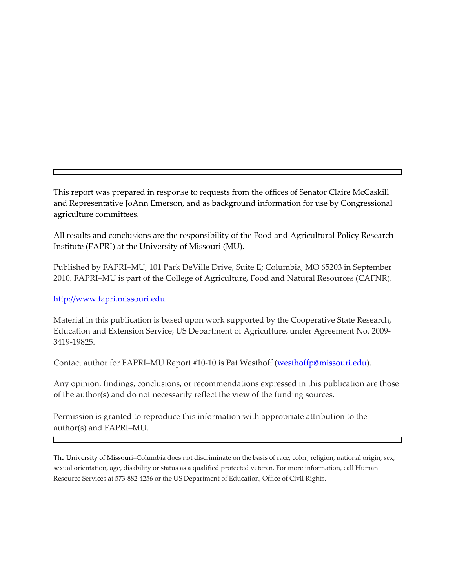This report was prepared in response to requests from the offices of Senator Claire McCaskill and Representative JoAnn Emerson, and as background information for use by Congressional agriculture committees.

All results and conclusions are the responsibility of the Food and Agricultural Policy Research Institute (FAPRI) at the University of Missouri (MU).

Published by FAPRI–MU, 101 Park DeVille Drive, Suite E; Columbia, MO 65203 in September 2010. FAPRI–MU is part of the College of Agriculture, Food and Natural Resources (CAFNR).

http://www.fapri.missouri.edu

Material in this publication is based upon work supported by the Cooperative State Research, Education and Extension Service; US Department of Agriculture, under Agreement No. 2009‐ 3419‐19825.

Contact author for FAPRI–MU Report #10-10 is Pat Westhoff (westhoffp@missouri.edu).

Any opinion, findings, conclusions, or recommendations expressed in this publication are those of the author(s) and do not necessarily reflect the view of the funding sources.

Permission is granted to reproduce this information with appropriate attribution to the author(s) and FAPRI–MU.

The University of Missouri–Columbia does not discriminate on the basis of race, color, religion, national origin, sex, sexual orientation, age, disability or status as a qualified protected veteran. For more information, call Human Resource Services at 573‐882‐4256 or the US Department of Education, Office of Civil Rights.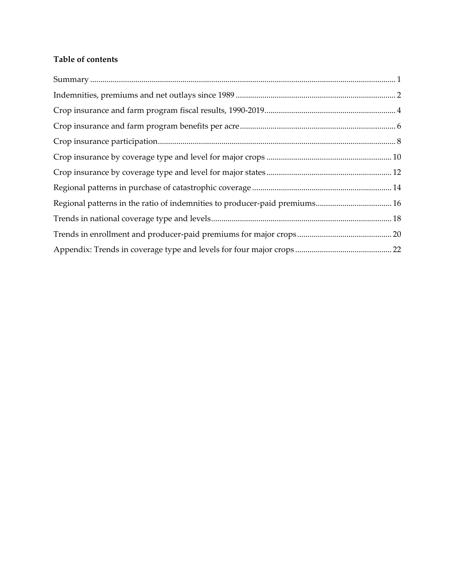# **Table of contents**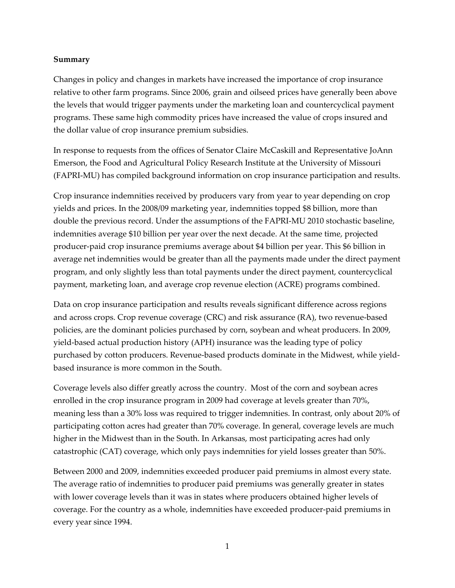#### **Summary**

Changes in policy and changes in markets have increased the importance of crop insurance relative to other farm programs. Since 2006, grain and oilseed prices have generally been above the levels that would trigger payments under the marketing loan and countercyclical payment programs. These same high commodity prices have increased the value of crops insured and the dollar value of crop insurance premium subsidies.

In response to requests from the offices of Senator Claire McCaskill and Representative JoAnn Emerson, the Food and Agricultural Policy Research Institute at the University of Missouri (FAPRI‐MU) has compiled background information on crop insurance participation and results.

Crop insurance indemnities received by producers vary from year to year depending on crop yields and prices. In the 2008/09 marketing year, indemnities topped \$8 billion, more than double the previous record. Under the assumptions of the FAPRI‐MU 2010 stochastic baseline, indemnities average \$10 billion per year over the next decade. At the same time, projected producer‐paid crop insurance premiums average about \$4 billion per year. This \$6 billion in average net indemnities would be greater than all the payments made under the direct payment program, and only slightly less than total payments under the direct payment, countercyclical payment, marketing loan, and average crop revenue election (ACRE) programs combined.

Data on crop insurance participation and results reveals significant difference across regions and across crops. Crop revenue coverage (CRC) and risk assurance (RA), two revenue‐based policies, are the dominant policies purchased by corn, soybean and wheat producers. In 2009, yield‐based actual production history (APH) insurance was the leading type of policy purchased by cotton producers. Revenue‐based products dominate in the Midwest, while yield‐ based insurance is more common in the South.

Coverage levels also differ greatly across the country. Most of the corn and soybean acres enrolled in the crop insurance program in 2009 had coverage at levels greater than 70%, meaning less than a 30% loss was required to trigger indemnities. In contrast, only about 20% of participating cotton acres had greater than 70% coverage. In general, coverage levels are much higher in the Midwest than in the South. In Arkansas, most participating acres had only catastrophic (CAT) coverage, which only pays indemnities for yield losses greater than 50%.

Between 2000 and 2009, indemnities exceeded producer paid premiums in almost every state. The average ratio of indemnities to producer paid premiums was generally greater in states with lower coverage levels than it was in states where producers obtained higher levels of coverage. For the country as a whole, indemnities have exceeded producer-paid premiums in every year since 1994.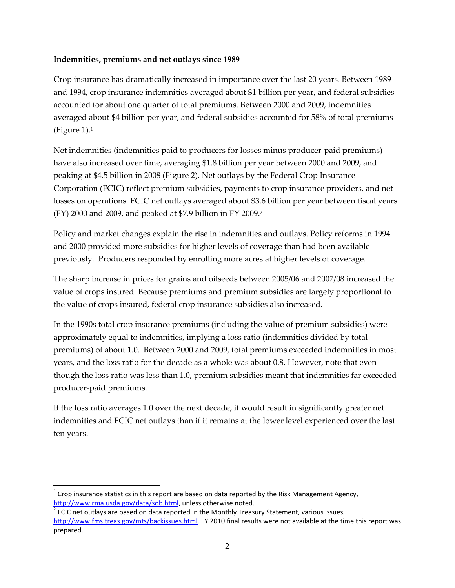#### **Indemnities, premiums and net outlays since 1989**

Crop insurance has dramatically increased in importance over the last 20 years. Between 1989 and 1994, crop insurance indemnities averaged about \$1 billion per year, and federal subsidies accounted for about one quarter of total premiums. Between 2000 and 2009, indemnities averaged about \$4 billion per year, and federal subsidies accounted for 58% of total premiums (Figure 1). $<sup>1</sup>$ </sup>

Net indemnities (indemnities paid to producers for losses minus producer-paid premiums) have also increased over time, averaging \$1.8 billion per year between 2000 and 2009, and peaking at \$4.5 billion in 2008 (Figure 2). Net outlays by the Federal Crop Insurance Corporation (FCIC) reflect premium subsidies, payments to crop insurance providers, and net losses on operations. FCIC net outlays averaged about \$3.6 billion per year between fiscal years (FY) 2000 and 2009, and peaked at \$7.9 billion in FY 2009.2

Policy and market changes explain the rise in indemnities and outlays. Policy reforms in 1994 and 2000 provided more subsidies for higher levels of coverage than had been available previously. Producers responded by enrolling more acres at higher levels of coverage.

The sharp increase in prices for grains and oilseeds between 2005/06 and 2007/08 increased the value of crops insured. Because premiums and premium subsidies are largely proportional to the value of crops insured, federal crop insurance subsidies also increased.

In the 1990s total crop insurance premiums (including the value of premium subsidies) were approximately equal to indemnities, implying a loss ratio (indemnities divided by total premiums) of about 1.0. Between 2000 and 2009, total premiums exceeded indemnities in most years, and the loss ratio for the decade as a whole was about 0.8. However, note that even though the loss ratio was less than 1.0, premium subsidies meant that indemnities far exceeded producer‐paid premiums.

If the loss ratio averages 1.0 over the next decade, it would result in significantly greater net indemnities and FCIC net outlays than if it remains at the lower level experienced over the last ten years.

 $1$  Crop insurance statistics in this report are based on data reported by the Risk Management Agency, http://www.rma.usda.gov/data/sob.html, unless otherwise noted.<br><sup>2</sup> FCIC net outlays are based on data reported in the Monthly Treasury Statement, various issues,

http://www.fms.treas.gov/mts/backissues.html. FY 2010 final results were not available at the time this report was prepared.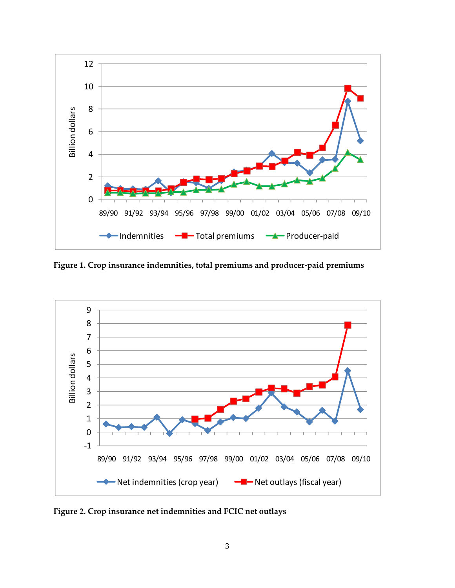

**Figure 1. Crop insurance indemnities, total premiums and producer‐paid premiums**



**Figure 2. Crop insurance net indemnities and FCIC net outlays**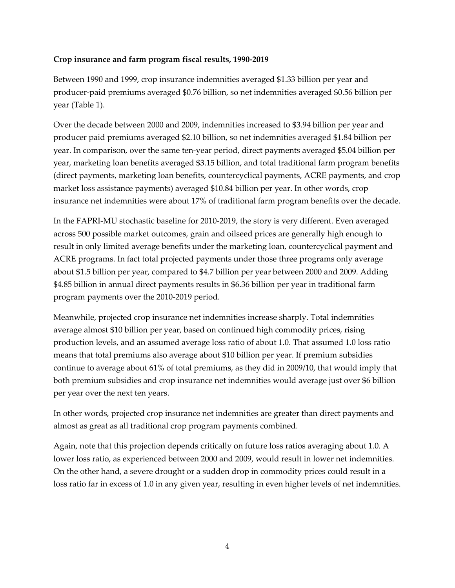#### **Crop insurance and farm program fiscal results, 1990‐2019**

Between 1990 and 1999, crop insurance indemnities averaged \$1.33 billion per year and producer‐paid premiums averaged \$0.76 billion, so net indemnities averaged \$0.56 billion per year (Table 1).

Over the decade between 2000 and 2009, indemnities increased to \$3.94 billion per year and producer paid premiums averaged \$2.10 billion, so net indemnities averaged \$1.84 billion per year. In comparison, over the same ten‐year period, direct payments averaged \$5.04 billion per year, marketing loan benefits averaged \$3.15 billion, and total traditional farm program benefits (direct payments, marketing loan benefits, countercyclical payments, ACRE payments, and crop market loss assistance payments) averaged \$10.84 billion per year. In other words, crop insurance net indemnities were about 17% of traditional farm program benefits over the decade.

In the FAPRI-MU stochastic baseline for 2010-2019, the story is very different. Even averaged across 500 possible market outcomes, grain and oilseed prices are generally high enough to result in only limited average benefits under the marketing loan, countercyclical payment and ACRE programs. In fact total projected payments under those three programs only average about \$1.5 billion per year, compared to \$4.7 billion per year between 2000 and 2009. Adding \$4.85 billion in annual direct payments results in \$6.36 billion per year in traditional farm program payments over the 2010‐2019 period.

Meanwhile, projected crop insurance net indemnities increase sharply. Total indemnities average almost \$10 billion per year, based on continued high commodity prices, rising production levels, and an assumed average loss ratio of about 1.0. That assumed 1.0 loss ratio means that total premiums also average about \$10 billion per year. If premium subsidies continue to average about 61% of total premiums, as they did in 2009/10, that would imply that both premium subsidies and crop insurance net indemnities would average just over \$6 billion per year over the next ten years.

In other words, projected crop insurance net indemnities are greater than direct payments and almost as great as all traditional crop program payments combined.

Again, note that this projection depends critically on future loss ratios averaging about 1.0. A lower loss ratio, as experienced between 2000 and 2009, would result in lower net indemnities. On the other hand, a severe drought or a sudden drop in commodity prices could result in a loss ratio far in excess of 1.0 in any given year, resulting in even higher levels of net indemnities.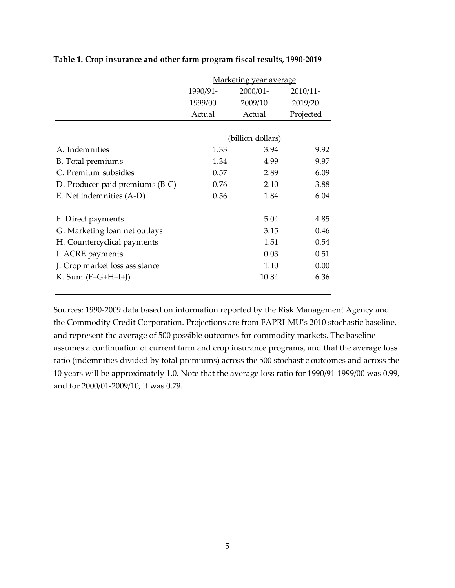|                                 | Marketing year average |             |                                     |  |  |
|---------------------------------|------------------------|-------------|-------------------------------------|--|--|
|                                 | 1990/91-               | $2000/01 -$ | $2010/11$ -<br>2019/20<br>Projected |  |  |
|                                 | 1999/00                | 2009/10     |                                     |  |  |
|                                 | Actual                 | Actual      |                                     |  |  |
|                                 |                        |             |                                     |  |  |
|                                 | (billion dollars)      |             |                                     |  |  |
| A. Indemnities                  | 1.33                   | 3.94        | 9.92                                |  |  |
| B. Total premiums               | 1.34                   | 4.99        | 9.97                                |  |  |
| C. Premium subsidies            | 0.57                   | 2.89        | 6.09                                |  |  |
| D. Producer-paid premiums (B-C) | 0.76                   | 2.10        | 3.88                                |  |  |
| E. Net indemnities (A-D)        | 0.56                   | 1.84        | 6.04                                |  |  |
| F. Direct payments              |                        | 5.04        | 4.85                                |  |  |
| G. Marketing loan net outlays   |                        | 3.15        | 0.46                                |  |  |
| H. Countercyclical payments     |                        | 1.51        | 0.54                                |  |  |
| I. ACRE payments                |                        | 0.03        | 0.51                                |  |  |
| J. Crop market loss assistance  |                        | 1.10        | 0.00                                |  |  |
| K. Sum $(F+G+H+I+J)$            |                        | 10.84       | 6.36                                |  |  |

#### **Table 1. Crop insurance and other farm program fiscal results, 1990‐2019**

Sources: 1990‐2009 data based on information reported by the Risk Management Agency and the Commodity Credit Corporation. Projections are from FAPRI‐MU's 2010 stochastic baseline, and represent the average of 500 possible outcomes for commodity markets. The baseline assumes a continuation of current farm and crop insurance programs, and that the average loss ratio (indemnities divided by total premiums) across the 500 stochastic outcomes and across the 10 years will be approximately 1.0. Note that the average loss ratio for 1990/91‐1999/00 was 0.99, and for 2000/01‐2009/10, it was 0.79.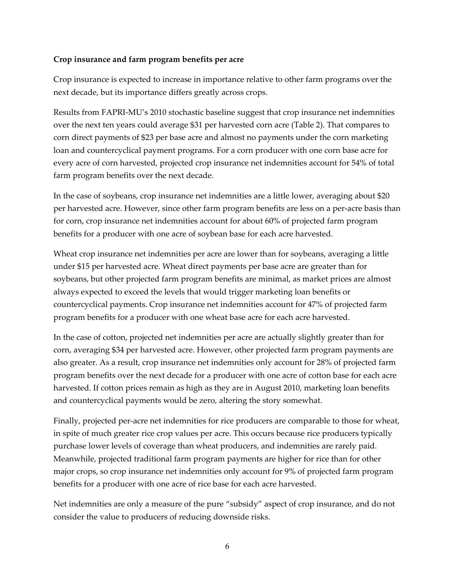#### **Crop insurance and farm program benefits per acre**

Crop insurance is expected to increase in importance relative to other farm programs over the next decade, but its importance differs greatly across crops.

Results from FAPRI‐MU's 2010 stochastic baseline suggest that crop insurance net indemnities over the next ten years could average \$31 per harvested corn acre (Table 2). That compares to corn direct payments of \$23 per base acre and almost no payments under the corn marketing loan and countercyclical payment programs. For a corn producer with one corn base acre for every acre of corn harvested, projected crop insurance net indemnities account for 54% of total farm program benefits over the next decade.

In the case of soybeans, crop insurance net indemnities are a little lower, averaging about \$20 per harvested acre. However, since other farm program benefits are less on a per‐acre basis than for corn, crop insurance net indemnities account for about 60% of projected farm program benefits for a producer with one acre of soybean base for each acre harvested.

Wheat crop insurance net indemnities per acre are lower than for soybeans, averaging a little under \$15 per harvested acre. Wheat direct payments per base acre are greater than for soybeans, but other projected farm program benefits are minimal, as market prices are almost always expected to exceed the levels that would trigger marketing loan benefits or countercyclical payments. Crop insurance net indemnities account for 47% of projected farm program benefits for a producer with one wheat base acre for each acre harvested.

In the case of cotton, projected net indemnities per acre are actually slightly greater than for corn, averaging \$34 per harvested acre. However, other projected farm program payments are also greater. As a result, crop insurance net indemnities only account for 28% of projected farm program benefits over the next decade for a producer with one acre of cotton base for each acre harvested. If cotton prices remain as high as they are in August 2010, marketing loan benefits and countercyclical payments would be zero, altering the story somewhat.

Finally, projected per-acre net indemnities for rice producers are comparable to those for wheat, in spite of much greater rice crop values per acre. This occurs because rice producers typically purchase lower levels of coverage than wheat producers, and indemnities are rarely paid. Meanwhile, projected traditional farm program payments are higher for rice than for other major crops, so crop insurance net indemnities only account for 9% of projected farm program benefits for a producer with one acre of rice base for each acre harvested.

Net indemnities are only a measure of the pure "subsidy" aspect of crop insurance, and do not consider the value to producers of reducing downside risks.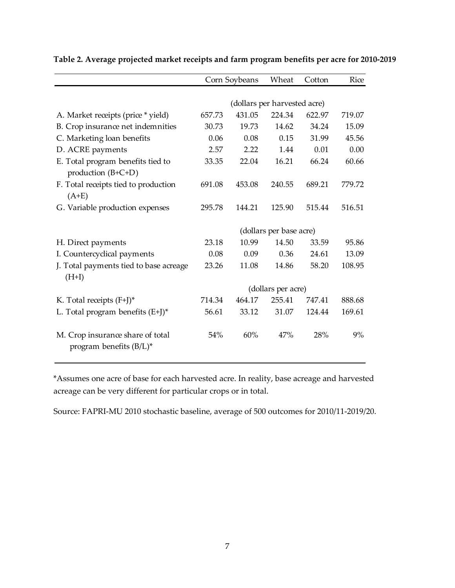|                                                                | Corn Soybeans                |        | Wheat                   | Cotton | Rice   |  |  |  |
|----------------------------------------------------------------|------------------------------|--------|-------------------------|--------|--------|--|--|--|
|                                                                |                              |        |                         |        |        |  |  |  |
|                                                                | (dollars per harvested acre) |        |                         |        |        |  |  |  |
| A. Market receipts (price * yield)                             | 657.73                       | 431.05 | 224.34                  | 622.97 | 719.07 |  |  |  |
| B. Crop insurance net indemnities                              | 30.73                        | 19.73  | 14.62                   | 34.24  | 15.09  |  |  |  |
| C. Marketing loan benefits                                     | 0.06                         | 0.08   | 0.15                    | 31.99  | 45.56  |  |  |  |
| D. ACRE payments                                               | 2.57                         | 2.22   | 1.44                    | 0.01   | 0.00   |  |  |  |
| E. Total program benefits tied to                              | 33.35                        | 22.04  | 16.21                   | 66.24  | 60.66  |  |  |  |
| production $(B+C+D)$                                           |                              |        |                         |        |        |  |  |  |
| F. Total receipts tied to production<br>$(A+E)$                | 691.08                       | 453.08 | 240.55                  | 689.21 | 779.72 |  |  |  |
| G. Variable production expenses                                | 295.78                       | 144.21 | 125.90                  | 515.44 | 516.51 |  |  |  |
|                                                                |                              |        |                         |        |        |  |  |  |
|                                                                |                              |        | (dollars per base acre) |        |        |  |  |  |
| H. Direct payments                                             | 23.18                        | 10.99  | 14.50                   | 33.59  | 95.86  |  |  |  |
| I. Countercyclical payments                                    | 0.08                         | 0.09   | 0.36                    | 24.61  | 13.09  |  |  |  |
| J. Total payments tied to base acreage<br>$(H+I)$              | 23.26                        | 11.08  | 14.86                   | 58.20  | 108.95 |  |  |  |
|                                                                |                              |        | (dollars per acre)      |        |        |  |  |  |
| K. Total receipts $(F+J)^*$                                    | 714.34                       | 464.17 | 255.41                  | 747.41 | 888.68 |  |  |  |
| L. Total program benefits $(E+J)^*$                            | 56.61                        | 33.12  | 31.07                   | 124.44 | 169.61 |  |  |  |
| M. Crop insurance share of total<br>program benefits $(B/L)^*$ | 54%                          | 60%    | 47%                     | 28%    | 9%     |  |  |  |

**Table 2. Average projected market receipts and farm program benefits per acre for 2010‐2019**

\*Assumes one acre of base for each harvested acre. In reality, base acreage and harvested acreage can be very different for particular crops or in total.

Source: FAPRI‐MU 2010 stochastic baseline, average of 500 outcomes for 2010/11‐2019/20.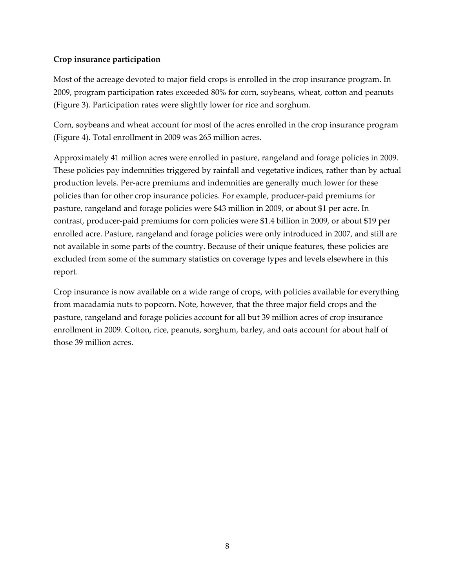## **Crop insurance participation**

Most of the acreage devoted to major field crops is enrolled in the crop insurance program. In 2009, program participation rates exceeded 80% for corn, soybeans, wheat, cotton and peanuts (Figure 3). Participation rates were slightly lower for rice and sorghum.

Corn, soybeans and wheat account for most of the acres enrolled in the crop insurance program (Figure 4). Total enrollment in 2009 was 265 million acres.

Approximately 41 million acres were enrolled in pasture, rangeland and forage policies in 2009. These policies pay indemnities triggered by rainfall and vegetative indices, rather than by actual production levels. Per‐acre premiums and indemnities are generally much lower for these policies than for other crop insurance policies. For example, producer‐paid premiums for pasture, rangeland and forage policies were \$43 million in 2009, or about \$1 per acre. In contrast, producer‐paid premiums for corn policies were \$1.4 billion in 2009, or about \$19 per enrolled acre. Pasture, rangeland and forage policies were only introduced in 2007, and still are not available in some parts of the country. Because of their unique features, these policies are excluded from some of the summary statistics on coverage types and levels elsewhere in this report.

Crop insurance is now available on a wide range of crops, with policies available for everything from macadamia nuts to popcorn. Note, however, that the three major field crops and the pasture, rangeland and forage policies account for all but 39 million acres of crop insurance enrollment in 2009. Cotton, rice, peanuts, sorghum, barley, and oats account for about half of those 39 million acres.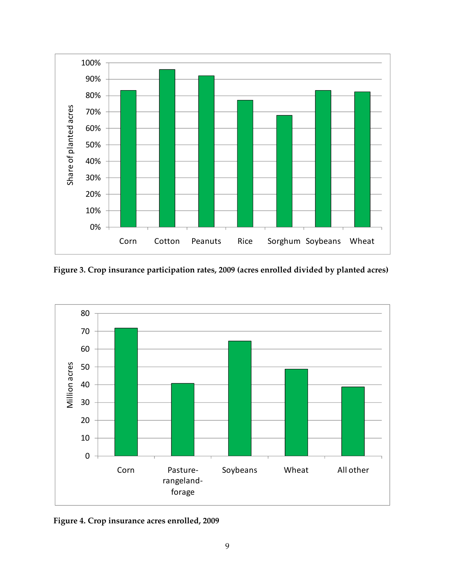

**Figure 3. Crop insurance participation rates, 2009 (acres enrolled divided by planted acres)**



**Figure 4. Crop insurance acres enrolled, 2009**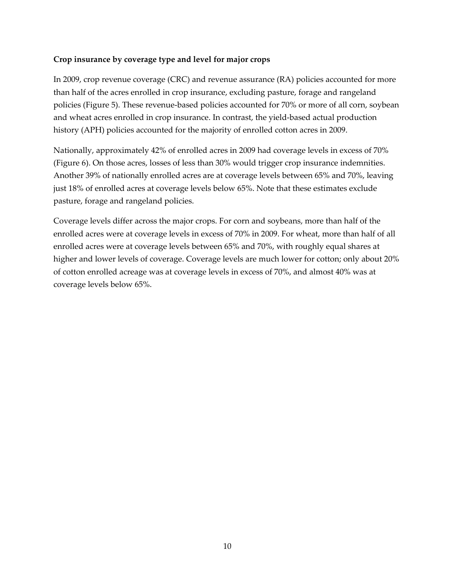#### **Crop insurance by coverage type and level for major crops**

In 2009, crop revenue coverage (CRC) and revenue assurance (RA) policies accounted for more than half of the acres enrolled in crop insurance, excluding pasture, forage and rangeland policies (Figure 5). These revenue‐based policies accounted for 70% or more of all corn, soybean and wheat acres enrolled in crop insurance. In contrast, the yield‐based actual production history (APH) policies accounted for the majority of enrolled cotton acres in 2009.

Nationally, approximately 42% of enrolled acres in 2009 had coverage levels in excess of 70% (Figure 6). On those acres, losses of less than 30% would trigger crop insurance indemnities. Another 39% of nationally enrolled acres are at coverage levels between 65% and 70%, leaving just 18% of enrolled acres at coverage levels below 65%. Note that these estimates exclude pasture, forage and rangeland policies.

Coverage levels differ across the major crops. For corn and soybeans, more than half of the enrolled acres were at coverage levels in excess of 70% in 2009. For wheat, more than half of all enrolled acres were at coverage levels between 65% and 70%, with roughly equal shares at higher and lower levels of coverage. Coverage levels are much lower for cotton; only about 20% of cotton enrolled acreage was at coverage levels in excess of 70%, and almost 40% was at coverage levels below 65%.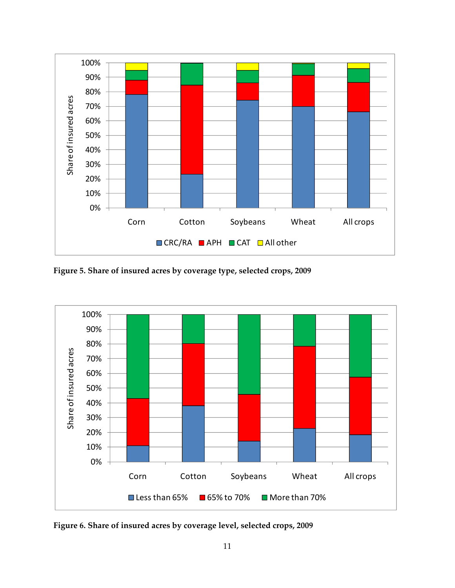

**Figure 5. Share of insured acres by coverage type, selected crops, 2009**



**Figure 6. Share of insured acres by coverage level, selected crops, 2009**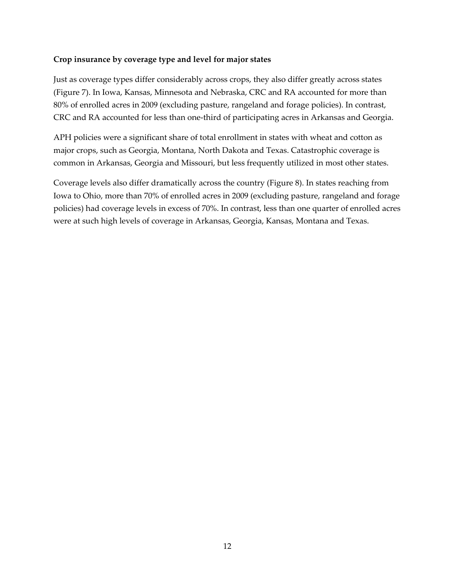#### **Crop insurance by coverage type and level for major states**

Just as coverage types differ considerably across crops, they also differ greatly across states (Figure 7). In Iowa, Kansas, Minnesota and Nebraska, CRC and RA accounted for more than 80% of enrolled acres in 2009 (excluding pasture, rangeland and forage policies). In contrast, CRC and RA accounted for less than one‐third of participating acres in Arkansas and Georgia.

APH policies were a significant share of total enrollment in states with wheat and cotton as major crops, such as Georgia, Montana, North Dakota and Texas. Catastrophic coverage is common in Arkansas, Georgia and Missouri, but less frequently utilized in most other states.

Coverage levels also differ dramatically across the country (Figure 8). In states reaching from Iowa to Ohio, more than 70% of enrolled acres in 2009 (excluding pasture, rangeland and forage policies) had coverage levels in excess of 70%. In contrast, less than one quarter of enrolled acres were at such high levels of coverage in Arkansas, Georgia, Kansas, Montana and Texas.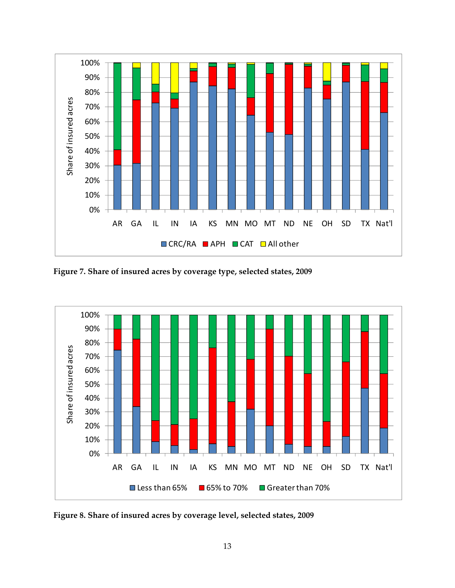

**Figure 7. Share of insured acres by coverage type, selected states, 2009**



**Figure 8. Share of insured acres by coverage level, selected states, 2009**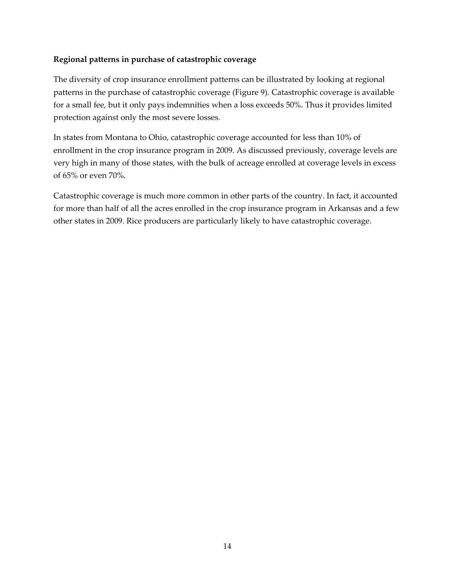## **Regional patterns in purchase of catastrophic coverage**

The diversity of crop insurance enrollment patterns can be illustrated by looking at regional patterns in the purchase of catastrophic coverage (Figure 9). Catastrophic coverage is available for a small fee, but it only pays indemnities when a loss exceeds 50%. Thus it provides limited protection against only the most severe losses.

In states from Montana to Ohio, catastrophic coverage accounted for less than 10% of enrollment in the crop insurance program in 2009. As discussed previously, coverage levels are very high in many of those states, with the bulk of acreage enrolled at coverage levels in excess of 65% or even 70%.

Catastrophic coverage is much more common in other parts of the country. In fact, it accounted for more than half of all the acres enrolled in the crop insurance program in Arkansas and a few other states in 2009. Rice producers are particularly likely to have catastrophic coverage.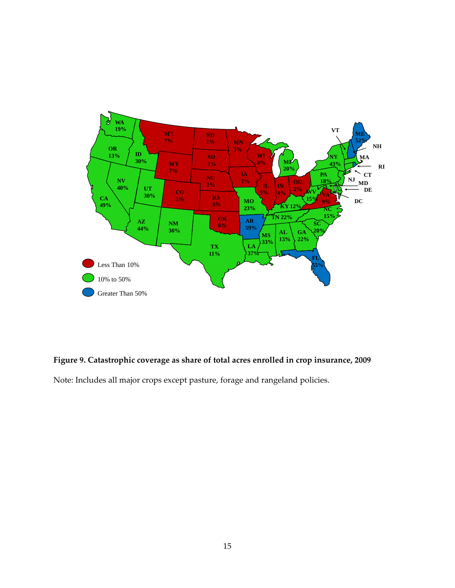

# **Figure 9. Catastrophic coverage as share of total acres enrolled in crop insurance, 2009**

Note: Includes all major crops except pasture, forage and rangeland policies.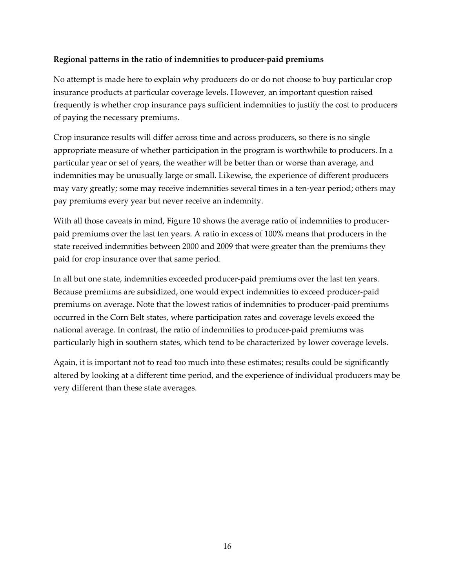## **Regional patterns in the ratio of indemnities to producer‐paid premiums**

No attempt is made here to explain why producers do or do not choose to buy particular crop insurance products at particular coverage levels. However, an important question raised frequently is whether crop insurance pays sufficient indemnities to justify the cost to producers of paying the necessary premiums.

Crop insurance results will differ across time and across producers, so there is no single appropriate measure of whether participation in the program is worthwhile to producers. In a particular year or set of years, the weather will be better than or worse than average, and indemnities may be unusually large or small. Likewise, the experience of different producers may vary greatly; some may receive indemnities several times in a ten-year period; others may pay premiums every year but never receive an indemnity.

With all those caveats in mind, Figure 10 shows the average ratio of indemnities to producerpaid premiums over the last ten years. A ratio in excess of 100% means that producers in the state received indemnities between 2000 and 2009 that were greater than the premiums they paid for crop insurance over that same period.

In all but one state, indemnities exceeded producer-paid premiums over the last ten years. Because premiums are subsidized, one would expect indemnities to exceed producer‐paid premiums on average. Note that the lowest ratios of indemnities to producer‐paid premiums occurred in the Corn Belt states, where participation rates and coverage levels exceed the national average. In contrast, the ratio of indemnities to producer‐paid premiums was particularly high in southern states, which tend to be characterized by lower coverage levels.

Again, it is important not to read too much into these estimates; results could be significantly altered by looking at a different time period, and the experience of individual producers may be very different than these state averages.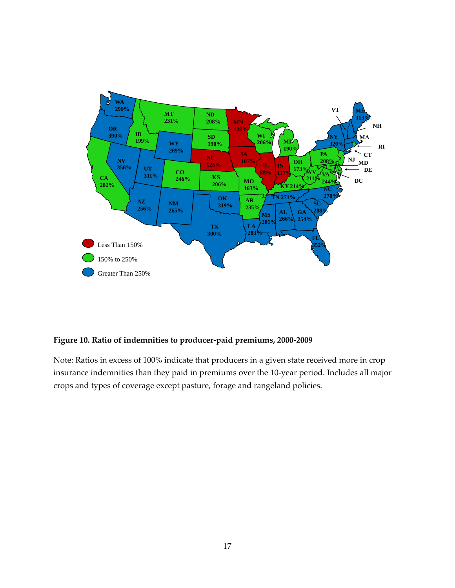

#### **Figure 10. Ratio of indemnities to producer‐paid premiums, 2000‐2009**

Note: Ratios in excess of 100% indicate that producers in a given state received more in crop insurance indemnities than they paid in premiums over the 10‐year period. Includes all major crops and types of coverage except pasture, forage and rangeland policies.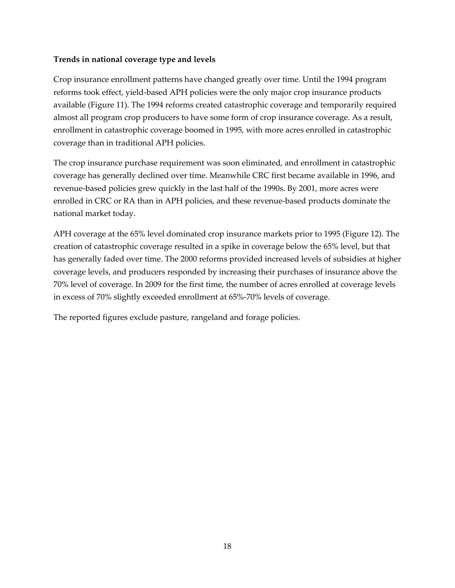#### **Trends in national coverage type and levels**

Crop insurance enrollment patterns have changed greatly over time. Until the 1994 program reforms took effect, yield‐based APH policies were the only major crop insurance products available (Figure 11). The 1994 reforms created catastrophic coverage and temporarily required almost all program crop producers to have some form of crop insurance coverage. As a result, enrollment in catastrophic coverage boomed in 1995, with more acres enrolled in catastrophic coverage than in traditional APH policies.

The crop insurance purchase requirement was soon eliminated, and enrollment in catastrophic coverage has generally declined over time. Meanwhile CRC first became available in 1996, and revenue‐based policies grew quickly in the last half of the 1990s. By 2001, more acres were enrolled in CRC or RA than in APH policies, and these revenue‐based products dominate the national market today.

APH coverage at the 65% level dominated crop insurance markets prior to 1995 (Figure 12). The creation of catastrophic coverage resulted in a spike in coverage below the 65% level, but that has generally faded over time. The 2000 reforms provided increased levels of subsidies at higher coverage levels, and producers responded by increasing their purchases of insurance above the 70% level of coverage. In 2009 for the first time, the number of acres enrolled at coverage levels in excess of 70% slightly exceeded enrollment at 65%‐70% levels of coverage.

The reported figures exclude pasture, rangeland and forage policies.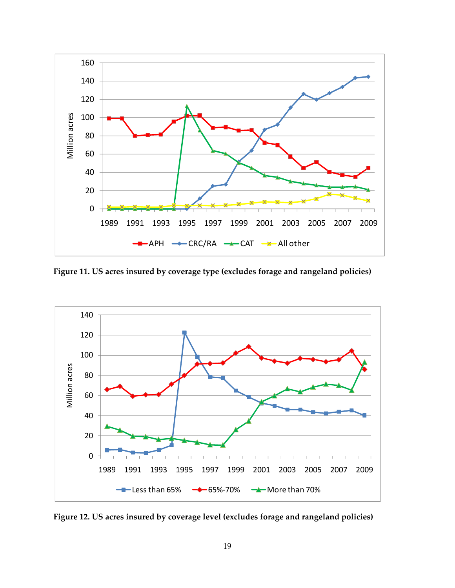

**Figure 11. US acres insured by coverage type (excludes forage and rangeland policies)**



**Figure 12. US acres insured by coverage level (excludes forage and rangeland policies)**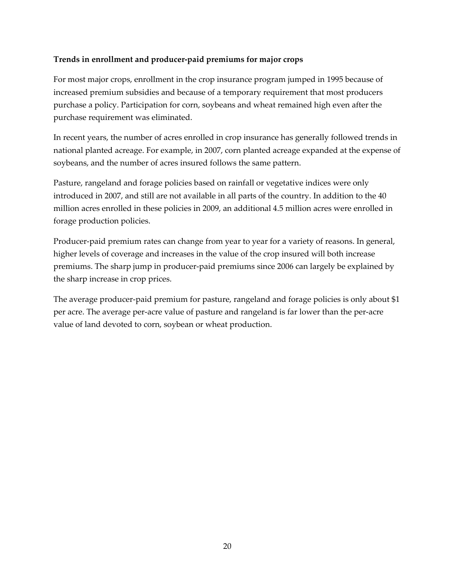#### **Trends in enrollment and producer‐paid premiums for major crops**

For most major crops, enrollment in the crop insurance program jumped in 1995 because of increased premium subsidies and because of a temporary requirement that most producers purchase a policy. Participation for corn, soybeans and wheat remained high even after the purchase requirement was eliminated.

In recent years, the number of acres enrolled in crop insurance has generally followed trends in national planted acreage. For example, in 2007, corn planted acreage expanded at the expense of soybeans, and the number of acres insured follows the same pattern.

Pasture, rangeland and forage policies based on rainfall or vegetative indices were only introduced in 2007, and still are not available in all parts of the country. In addition to the 40 million acres enrolled in these policies in 2009, an additional 4.5 million acres were enrolled in forage production policies.

Producer-paid premium rates can change from year to year for a variety of reasons. In general, higher levels of coverage and increases in the value of the crop insured will both increase premiums. The sharp jump in producer‐paid premiums since 2006 can largely be explained by the sharp increase in crop prices.

The average producer-paid premium for pasture, rangeland and forage policies is only about \$1 per acre. The average per‐acre value of pasture and rangeland is far lower than the per‐acre value of land devoted to corn, soybean or wheat production.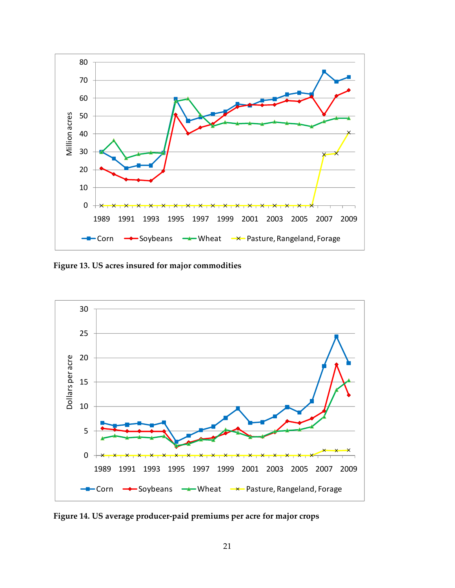

**Figure 13. US acres insured for major commodities** 



**Figure 14. US average producer‐paid premiums per acre for major crops**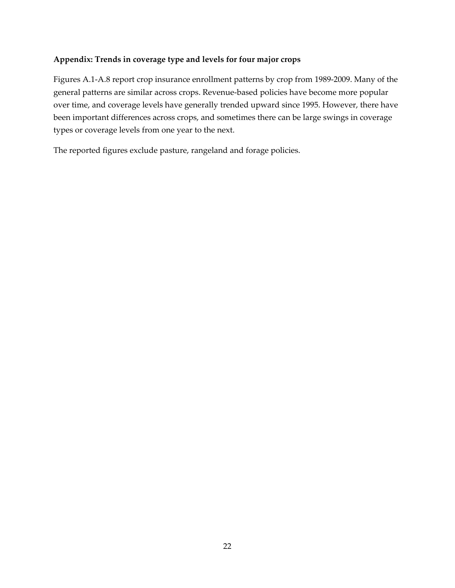#### **Appendix: Trends in coverage type and levels for four major crops**

Figures A.1‐A.8 report crop insurance enrollment patterns by crop from 1989‐2009. Many of the general patterns are similar across crops. Revenue‐based policies have become more popular over time, and coverage levels have generally trended upward since 1995. However, there have been important differences across crops, and sometimes there can be large swings in coverage types or coverage levels from one year to the next.

The reported figures exclude pasture, rangeland and forage policies.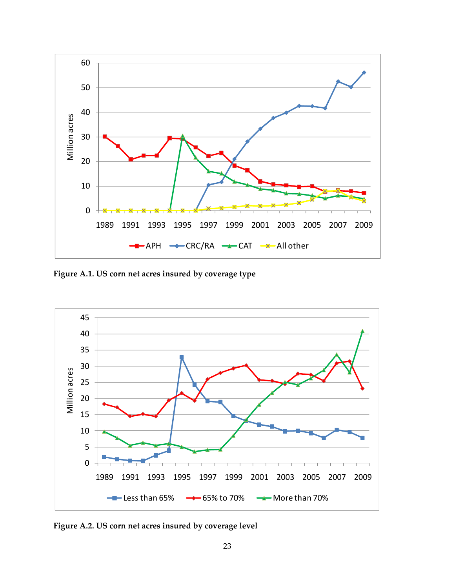

**Figure A.1. US corn net acres insured by coverage type**



**Figure A.2. US corn net acres insured by coverage level**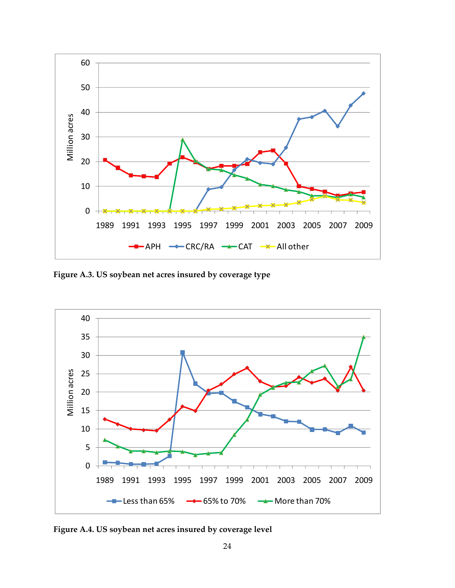

**Figure A.3. US soybean net acres insured by coverage type**



**Figure A.4. US soybean net acres insured by coverage level**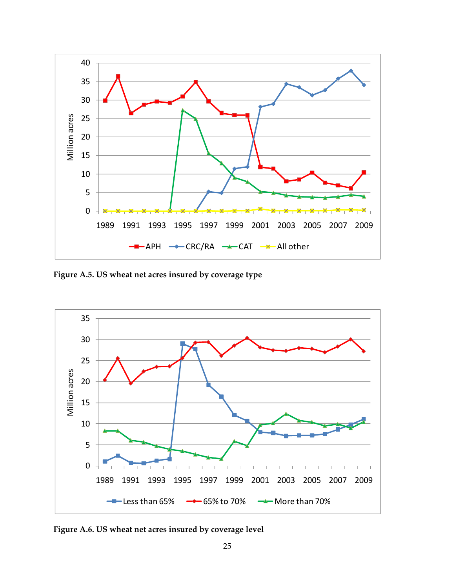

**Figure A.5. US wheat net acres insured by coverage type**



**Figure A.6. US wheat net acres insured by coverage level**